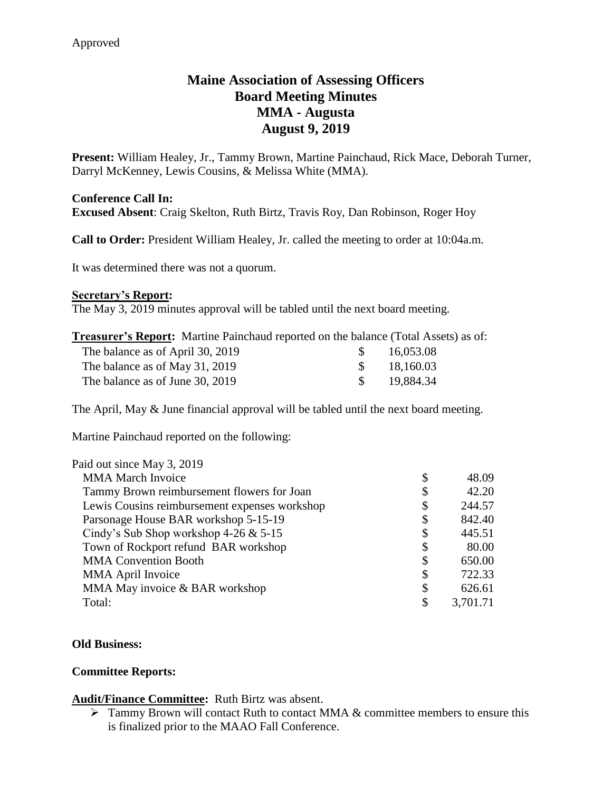# **Maine Association of Assessing Officers Board Meeting Minutes MMA - Augusta August 9, 2019**

**Present:** William Healey, Jr., Tammy Brown, Martine Painchaud, Rick Mace, Deborah Turner, Darryl McKenney, Lewis Cousins, & Melissa White (MMA).

### **Conference Call In:**

**Excused Absent**: Craig Skelton, Ruth Birtz, Travis Roy, Dan Robinson, Roger Hoy

**Call to Order:** President William Healey, Jr. called the meeting to order at 10:04a.m.

It was determined there was not a quorum.

### **Secretary's Report:**

The May 3, 2019 minutes approval will be tabled until the next board meeting.

| <b>Treasurer's Report:</b> Martine Painchaud reported on the balance (Total Assets) as of: |  |  |  |  |
|--------------------------------------------------------------------------------------------|--|--|--|--|
|--------------------------------------------------------------------------------------------|--|--|--|--|

| The balance as of April 30, 2019 | 16,053.08              |
|----------------------------------|------------------------|
| The balance as of May 31, 2019   | \$18,160.03            |
| The balance as of June 30, 2019  | $\frac{\$}{19,884.34}$ |

The April, May & June financial approval will be tabled until the next board meeting.

Martine Painchaud reported on the following:

| Paid out since May 3, 2019                    |                |
|-----------------------------------------------|----------------|
| <b>MMA</b> March Invoice                      | \$<br>48.09    |
| Tammy Brown reimbursement flowers for Joan    | \$<br>42.20    |
| Lewis Cousins reimbursement expenses workshop | \$<br>244.57   |
| Parsonage House BAR workshop 5-15-19          | \$<br>842.40   |
| Cindy's Sub Shop workshop $4-26 \& 5-15$      | \$<br>445.51   |
| Town of Rockport refund BAR workshop          | \$<br>80.00    |
| <b>MMA Convention Booth</b>                   | \$<br>650.00   |
| <b>MMA April Invoice</b>                      | \$<br>722.33   |
| MMA May invoice & BAR workshop                | \$<br>626.61   |
| Total:                                        | \$<br>3,701.71 |

### **Old Business:**

### **Committee Reports:**

**Audit/Finance Committee:** Ruth Birtz was absent.

 $\triangleright$  Tammy Brown will contact Ruth to contact MMA & committee members to ensure this is finalized prior to the MAAO Fall Conference.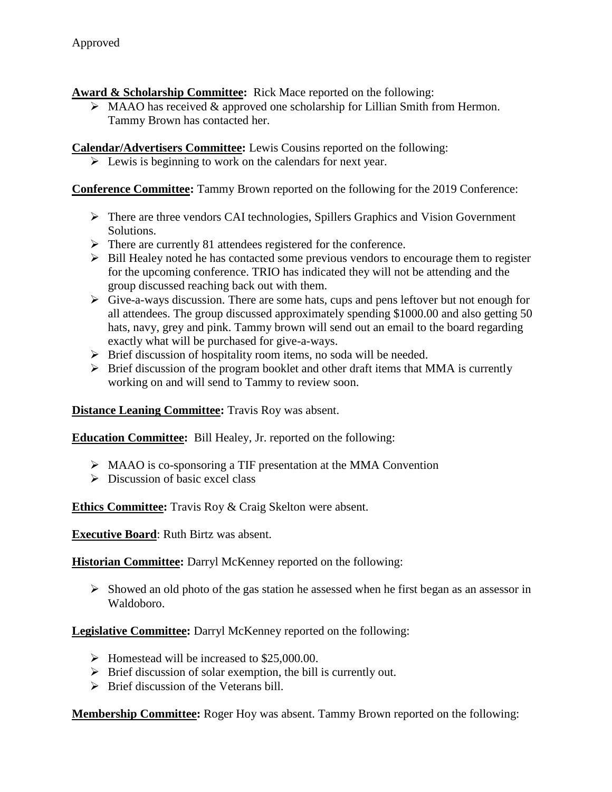**Award & Scholarship Committee:** Rick Mace reported on the following:

 $\triangleright$  MAAO has received & approved one scholarship for Lillian Smith from Hermon. Tammy Brown has contacted her.

**Calendar/Advertisers Committee:** Lewis Cousins reported on the following:

 $\triangleright$  Lewis is beginning to work on the calendars for next year.

**Conference Committee:** Tammy Brown reported on the following for the 2019 Conference:

- $\triangleright$  There are three vendors CAI technologies, Spillers Graphics and Vision Government Solutions.
- $\triangleright$  There are currently 81 attendees registered for the conference.
- $\triangleright$  Bill Healey noted he has contacted some previous vendors to encourage them to register for the upcoming conference. TRIO has indicated they will not be attending and the group discussed reaching back out with them.
- $\triangleright$  Give-a-ways discussion. There are some hats, cups and pens leftover but not enough for all attendees. The group discussed approximately spending \$1000.00 and also getting 50 hats, navy, grey and pink. Tammy brown will send out an email to the board regarding exactly what will be purchased for give-a-ways.
- $\triangleright$  Brief discussion of hospitality room items, no soda will be needed.
- $\triangleright$  Brief discussion of the program booklet and other draft items that MMA is currently working on and will send to Tammy to review soon.

**Distance Leaning Committee:** Travis Roy was absent.

**Education Committee:** Bill Healey, Jr. reported on the following:

- MAAO is co-sponsoring a TIF presentation at the MMA Convention
- $\triangleright$  Discussion of basic excel class

**Ethics Committee:** Travis Roy & Craig Skelton were absent.

**Executive Board**: Ruth Birtz was absent.

**Historian Committee:** Darryl McKenney reported on the following:

 $\triangleright$  Showed an old photo of the gas station he assessed when he first began as an assessor in Waldoboro.

**Legislative Committee:** Darryl McKenney reported on the following:

- $\triangleright$  Homestead will be increased to \$25,000.00.
- $\triangleright$  Brief discussion of solar exemption, the bill is currently out.
- $\triangleright$  Brief discussion of the Veterans bill.

**Membership Committee:** Roger Hoy was absent. Tammy Brown reported on the following: